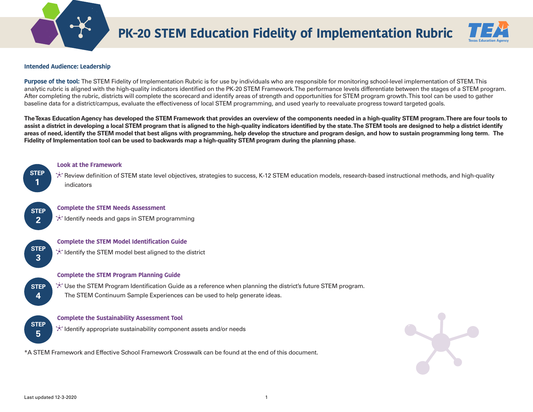

# **PK-20 STEM Education Fidelity of Implementation Rubric**



#### **Intended Audience: Leadership**

**Purpose of the tool:** The STEM Fidelity of Implementation Rubric is for use by individuals who are responsible for monitoring school-level implementation of STEM. This analytic rubric is aligned with the high-quality indicators identified on the PK-20 STEM Framework. The performance levels differentiate between the stages of a STEM program. After completing the rubric, districts will complete the scorecard and identify areas of strength and opportunities for STEM program growth. This tool can be used to gather baseline data for a district/campus, evaluate the effectiveness of local STEM programming, and used yearly to reevaluate progress toward targeted goals.

**The Texas Education Agency has developed the STEM Framework that provides an overview of the components needed in a high-quality STEM program. There are four tools to assist a district in developing a local STEM program that is aligned to the high-quality indicators identified by the state. The STEM tools are designed to help a district identify areas of need, identify the STEM model that best aligns with programming, help develop the structure and program design, and how to sustain programming long term. The Fidelity of Implementation tool can be used to backwards map a high-quality STEM program during the planning phase.** 



**STEP 2**

#### **Look at the Framework**

\*\* Review definition of STEM state level objectives, strategies to success, K-12 STEM education models, research-based instructional methods, and high-quality indicators

#### **Complete the STEM Needs Assessment**

 $\mathcal{F}$  Identify needs and gaps in STEM programming



**3**

**STEP 4**

#### **Complete the STEM Model Identification Guide**

 $\star$  Identify the STEM model best aligned to the district

**Complete the STEM Program Planning Guide**

 $\star$  Use the STEM Program Identification Guide as a reference when planning the district's future STEM program. The STEM Continuum Sample Experiences can be used to help generate ideas.

**STEP 5**

#### **Complete the Sustainability Assessment Tool**

**If all altertify appropriate sustainability component assets and/or needs** 

\*A STEM Framework and Effective School Framework Crosswalk can be found at the end of this document.

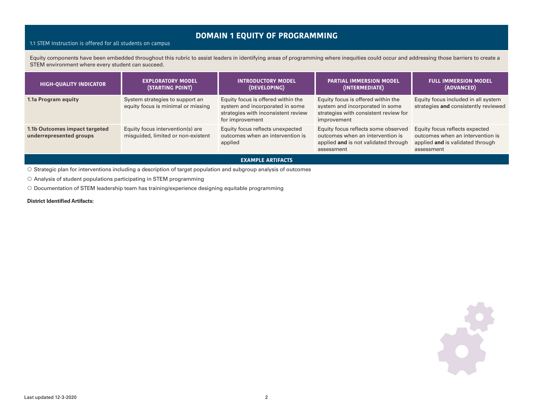### **DOMAIN 1 EQUITY OF PROGRAMMING**

#### 1.1 STEM Instruction is offered for all students on campus

Equity components have been embedded throughout this rubric to assist leaders in identifying areas of programming where inequities could occur and addressing those barriers to create a STEM environment where every student can succeed.

| <b>HIGH-QUALITY INDICATOR</b>                            | <b>EXPLORATORY MODEL</b><br>(STARTING POINT)                           | <b>INTRODUCTORY MODEL</b><br>(DEVELOPING)                                                                                       | <b>PARTIAL IMMERSION MODEL</b><br>(INTERMEDIATE)                                                                              | <b>FULL IMMERSION MODEL</b><br>(ADVANCED)                                                                            |  |
|----------------------------------------------------------|------------------------------------------------------------------------|---------------------------------------------------------------------------------------------------------------------------------|-------------------------------------------------------------------------------------------------------------------------------|----------------------------------------------------------------------------------------------------------------------|--|
| 1.1a Program equity                                      | System strategies to support an<br>equity focus is minimal or missing  | Equity focus is offered within the<br>system and incorporated in some<br>strategies with inconsistent review<br>for improvement | Equity focus is offered within the<br>system and incorporated in some<br>strategies with consistent review for<br>improvement | Equity focus included in all system<br>strategies and consistently reviewed                                          |  |
| 1.1b Outcomes impact targeted<br>underrepresented groups | Equity focus intervention(s) are<br>misquided, limited or non-existent | Equity focus reflects unexpected<br>outcomes when an intervention is<br>applied                                                 | Equity focus reflects some observed<br>outcomes when an intervention is<br>applied and is not validated through<br>assessment | Equity focus reflects expected<br>outcomes when an intervention is<br>applied and is validated through<br>assessment |  |
| <b>EXAMPLE ARTIFACTS</b>                                 |                                                                        |                                                                                                                                 |                                                                                                                               |                                                                                                                      |  |

• Strategic plan for interventions including a description of target population and subgroup analysis of outcomes

 $\circ$  Analysis of student populations participating in STEM programming

• Documentation of STEM leadership team has training/experience designing equitable programming

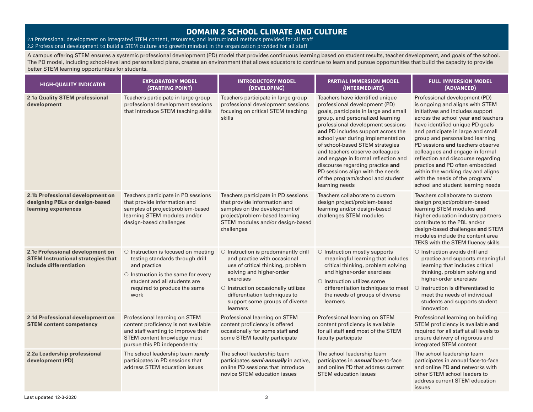### **DOMAIN 2 SCHOOL CLIMATE AND CULTURE**

2.1 Professional development on integrated STEM content, resources, and instructional methods provided for all staff 2.2 Professional development to build a STEM culture and growth mindset in the organization provided for all staff

A campus offering STEM ensures a systemic professional development (PD) model that provides continuous learning based on student results, teacher development, and goals of the school. The PD model, including school-level and personalized plans, creates an environment that allows educators to continue to learn and pursue opportunities that build the capacity to provide better STEM learning opportunities for students.

| <b>HIGH-QUALITY INDICATOR</b>                                                                            | <b>EXPLORATORY MODEL</b><br>(STARTING POINT)                                                                                                                                                                      | <b>INTRODUCTORY MODEL</b><br>(DEVELOPING)                                                                                                                                                                                                                                      | <b>PARTIAL IMMERSION MODEL</b><br>(INTERMEDIATE)                                                                                                                                                                                                                                                                                                                                                                                                                                                          | <b>FULL IMMERSION MODEL</b><br>(ADVANCED)                                                                                                                                                                                                                                                                                                                                                                                                                                                                          |
|----------------------------------------------------------------------------------------------------------|-------------------------------------------------------------------------------------------------------------------------------------------------------------------------------------------------------------------|--------------------------------------------------------------------------------------------------------------------------------------------------------------------------------------------------------------------------------------------------------------------------------|-----------------------------------------------------------------------------------------------------------------------------------------------------------------------------------------------------------------------------------------------------------------------------------------------------------------------------------------------------------------------------------------------------------------------------------------------------------------------------------------------------------|--------------------------------------------------------------------------------------------------------------------------------------------------------------------------------------------------------------------------------------------------------------------------------------------------------------------------------------------------------------------------------------------------------------------------------------------------------------------------------------------------------------------|
| 2.1a Quality STEM professional<br>development                                                            | Teachers participate in large group<br>professional development sessions<br>that introduce STEM teaching skills                                                                                                   | Teachers participate in large group<br>professional development sessions<br>focusing on critical STEM teaching<br>skills                                                                                                                                                       | Teachers have identified unique<br>professional development (PD)<br>goals, participate in large and small<br>group, and personalized learning<br>professional development sessions<br>and PD includes support across the<br>school year during implementation<br>of school-based STEM strategies<br>and teachers observe colleagues<br>and engage in formal reflection and<br>discourse regarding practice and<br>PD sessions align with the needs<br>of the program/school and student<br>learning needs | Professional development (PD)<br>is ongoing and aligns with STEM<br>initiatives and includes support<br>across the school year and teachers<br>have identified unique PD goals<br>and participate in large and small<br>group and personalized learning<br>PD sessions and teachers observe<br>colleagues and engage in formal<br>reflection and discourse regarding<br>practice and PD often embedded<br>within the working day and aligns<br>with the needs of the program/<br>school and student learning needs |
| 2.1b Professional development on<br>designing PBLs or design-based<br>learning experiences               | Teachers participate in PD sessions<br>that provide information and<br>samples of project/problem-based<br>learning STEM modules and/or<br>design-based challenges                                                | Teachers participate in PD sessions<br>that provide information and<br>samples on the development of<br>project/problem-based learning<br>STEM modules and/or design-based<br>challenges                                                                                       | Teachers collaborate to custom<br>design project/problem-based<br>learning and/or design-based<br>challenges STEM modules                                                                                                                                                                                                                                                                                                                                                                                 | Teachers collaborate to custom<br>design project/problem-based<br>learning STEM modules and<br>higher education industry partners<br>contribute to the PBL and/or<br>design-based challenges and STEM<br>modules include the content area<br>TEKS with the STEM fluency skills                                                                                                                                                                                                                                     |
| 2.1c Professional development on<br><b>STEM Instructional strategies that</b><br>include differentiation | $\circ$ Instruction is focused on meeting<br>testing standards through drill<br>and practice<br>$\circ$ Instruction is the same for every<br>student and all students are<br>required to produce the same<br>work | $\circ$ Instruction is predominantly drill<br>and practice with occasional<br>use of critical thinking, problem<br>solving and higher-order<br>exercises<br>O Instruction occasionally utilizes<br>differentiation techniques to<br>support some groups of diverse<br>learners | $\circ$ Instruction mostly supports<br>meaningful learning that includes<br>critical thinking, problem solving<br>and higher-order exercises<br>$\circ$ Instruction utilizes some<br>differentiation techniques to meet<br>the needs of groups of diverse<br>learners                                                                                                                                                                                                                                     | $\circ$ Instruction avoids drill and<br>practice and supports meaningful<br>learning that includes critical<br>thinking, problem solving and<br>higher-order exercises<br>O Instruction is differentiated to<br>meet the needs of individual<br>students and supports student<br>innovation                                                                                                                                                                                                                        |
| 2.1d Professional development on<br><b>STEM content competency</b>                                       | Professional learning on STEM<br>content proficiency is not available<br>and staff wanting to improve their<br>STEM content knowledge must<br>pursue this PD independently                                        | Professional learning on STEM<br>content proficiency is offered<br>occasionally for some staff and<br>some STEM faculty participate                                                                                                                                            | Professional learning on STEM<br>content proficiency is available<br>for all staff and most of the STEM<br>faculty participate                                                                                                                                                                                                                                                                                                                                                                            | Professional learning on building<br>STEM proficiency is available and<br>required for all staff at all levels to<br>ensure delivery of rigorous and<br>integrated STEM content                                                                                                                                                                                                                                                                                                                                    |
| 2.2a Leadership professional<br>development (PD)                                                         | The school leadership team rarely<br>participates in PD sessions that<br>address STEM education issues                                                                                                            | The school leadership team<br>participates semi-annually in active,<br>online PD sessions that introduce<br>novice STEM education issues                                                                                                                                       | The school leadership team<br>participates in <b>annual</b> face-to-face<br>and online PD that address current<br><b>STEM</b> education issues                                                                                                                                                                                                                                                                                                                                                            | The school leadership team<br>participates in annual face-to-face<br>and online PD and networks with<br>other STEM school leaders to<br>address current STEM education<br>issues                                                                                                                                                                                                                                                                                                                                   |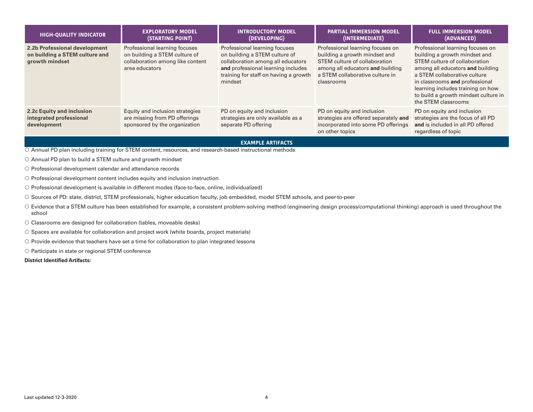| <b>HIGH-QUALITY INDICATOR</b>                                                     | <b>EXPLORATORY MODEL</b><br>(STARTING POINT)                                                                         | <b>INTRODUCTORY MODEL</b><br>(DEVELOPING)                                                                                                                                                     | <b>PARTIAL IMMERSION MODEL</b><br>(INTERMEDIATE)                                                                                                                                        | <b>FULL IMMERSION MODEL</b><br>(ADVANCED)                                                                                                                                                                                                                                                                    |
|-----------------------------------------------------------------------------------|----------------------------------------------------------------------------------------------------------------------|-----------------------------------------------------------------------------------------------------------------------------------------------------------------------------------------------|-----------------------------------------------------------------------------------------------------------------------------------------------------------------------------------------|--------------------------------------------------------------------------------------------------------------------------------------------------------------------------------------------------------------------------------------------------------------------------------------------------------------|
| 2.2b Professional development<br>on building a STEM culture and<br>growth mindset | Professional learning focuses<br>on building a STEM culture of<br>collaboration among like content<br>area educators | Professional learning focuses<br>on building a STEM culture of<br>collaboration among all educators<br>and professional learning includes<br>training for staff on having a growth<br>mindset | Professional learning focuses on<br>building a growth mindset and<br>STEM culture of collaboration<br>among all educators and building<br>a STEM collaborative culture in<br>classrooms | Professional learning focuses on<br>building a growth mindset and<br>STEM culture of collaboration<br>among all educators and building<br>a STEM collaborative culture<br>in classrooms and professional<br>learning includes training on how<br>to build a growth mindset culture in<br>the STEM classrooms |
| 2.2c Equity and inclusion<br>integrated professional<br>development               | Equity and inclusion strategies<br>are missing from PD offerings<br>sponsored by the organization                    | PD on equity and inclusion<br>strategies are only available as a<br>separate PD offering                                                                                                      | PD on equity and inclusion<br>strategies are offered separately and<br>incorporated into some PD offerings<br>on other topics                                                           | PD on equity and inclusion<br>strategies are the focus of all PD<br>and is included in all PD offered<br>regardless of topic                                                                                                                                                                                 |

#### **EXAMPLE ARTIFACTS**

 $\overline{O}$  Annual PD plan including training for STEM content, resources, and research-based instructional methods

 $\circ$  Annual PD plan to build a STEM culture and growth mindset

 $\circ$  Professional development calendar and attendance records

O Professional development content includes equity and inclusion instruction

• Professional development is available in different modes (face-to-face, online, individualized)

• Sources of PD: state, district, STEM professionals, higher education faculty, job embedded, model STEM schools, and peer-to-peer

O Evidence that a STEM culture has been established for example, a consistent problem-solving method (engineering design process/computational thinking) approach is used throughout the school

O Classrooms are designed for collaboration (tables, moveable desks)

• Spaces are available for collaboration and project work (white boards, project materials)

 $\circ$  Provide evidence that teachers have set a time for collaboration to plan integrated lessons

 $\circ$  Participate in state or regional STEM conference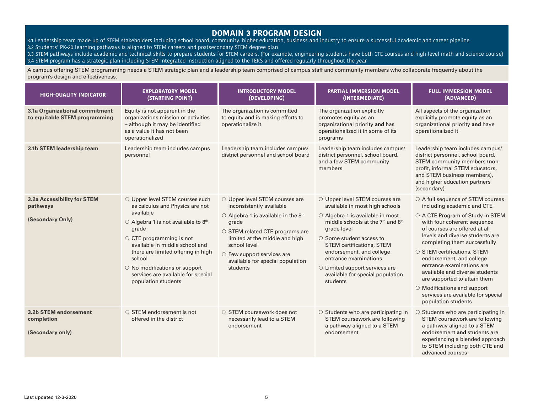### **DOMAIN 3 PROGRAM DESIGN**

- 3.1 Leadership team made up of STEM stakeholders including school board, community, higher education, business and industry to ensure a successful academic and career pipeline
- 3.2 Students' PK-20 learning pathways is aligned to STEM careers and postsecondary STEM degree plan
- 3.3 STEM pathways include academic and technical skills to prepare students for STEM careers. (For example, engineering students have both CTE courses and high-level math and science course) 3.4 STEM program has a strategic plan including STEM integrated instruction aligned to the TEKS and offered regularly throughout the year

A campus offering STEM programming needs a STEM strategic plan and a leadership team comprised of campus staff and community members who collaborate frequently about the program's design and effectiveness.

| <b>HIGH-QUALITY INDICATOR</b>                                   | <b>EXPLORATORY MODEL</b><br>(STARTING POINT)                                                                                                                                                                                                                                                                                                                        | <b>INTRODUCTORY MODEL</b><br>(DEVELOPING)                                                                                                                                                                                                                                                             | <b>PARTIAL IMMERSION MODEL</b><br>(INTERMEDIATE)                                                                                                                                                                                                                                                                                                                                                    | <b>FULL IMMERSION MODEL</b><br>(ADVANCED)                                                                                                                                                                                                                                                                                                                                                                                                                                                          |
|-----------------------------------------------------------------|---------------------------------------------------------------------------------------------------------------------------------------------------------------------------------------------------------------------------------------------------------------------------------------------------------------------------------------------------------------------|-------------------------------------------------------------------------------------------------------------------------------------------------------------------------------------------------------------------------------------------------------------------------------------------------------|-----------------------------------------------------------------------------------------------------------------------------------------------------------------------------------------------------------------------------------------------------------------------------------------------------------------------------------------------------------------------------------------------------|----------------------------------------------------------------------------------------------------------------------------------------------------------------------------------------------------------------------------------------------------------------------------------------------------------------------------------------------------------------------------------------------------------------------------------------------------------------------------------------------------|
| 3.1a Organizational commitment<br>to equitable STEM programming | Equity is not apparent in the<br>organizations mission or activities<br>- although it may be identified<br>as a value it has not been<br>operationalized                                                                                                                                                                                                            | The organization is committed<br>to equity and is making efforts to<br>operationalize it                                                                                                                                                                                                              | The organization explicitly<br>promotes equity as an<br>organizational priority and has<br>operationalized it in some of its<br>programs                                                                                                                                                                                                                                                            | All aspects of the organization<br>explicitly promote equity as an<br>organizational priority and have<br>operationalized it                                                                                                                                                                                                                                                                                                                                                                       |
| 3.1b STEM leadership team                                       | Leadership team includes campus<br>personnel                                                                                                                                                                                                                                                                                                                        | Leadership team includes campus/<br>district personnel and school board                                                                                                                                                                                                                               | Leadership team includes campus/<br>district personnel, school board,<br>and a few STEM community<br>members                                                                                                                                                                                                                                                                                        | Leadership team includes campus/<br>district personnel, school board,<br>STEM community members (non-<br>profit, informal STEM educators,<br>and STEM business members),<br>and higher education partners<br>(secondary)                                                                                                                                                                                                                                                                           |
| 3.2a Accessibility for STEM<br>pathways<br>(Secondary Only)     | O Upper level STEM courses such<br>as calculus and Physics are not<br>available<br>○ Algebra 1 is not available to 8 <sup>th</sup><br>grade<br>$\circ$ CTE programming is not<br>available in middle school and<br>there are limited offering in high<br>school<br>$\circ$ No modifications or support<br>services are available for special<br>population students | O Upper level STEM courses are<br>inconsistently available<br>$\circ$ Algebra 1 is available in the 8 <sup>th</sup><br>grade<br>○ STEM related CTE programs are<br>limited at the middle and high<br>school level<br>$\circ$ Few support services are<br>available for special population<br>students | O Upper level STEM courses are<br>available in most high schools<br>○ Algebra 1 is available in most<br>middle schools at the 7 <sup>th</sup> and 8 <sup>th</sup><br>grade level<br>$\circ$ Some student access to<br><b>STEM</b> certifications, STEM<br>endorsement, and college<br>entrance examinations<br>$\circ$ Limited support services are<br>available for special population<br>students | ○ A full sequence of STEM courses<br>including academic and CTE<br>○ A CTE Program of Study in STEM<br>with four coherent sequence<br>of courses are offered at all<br>levels and diverse students are<br>completing them successfully<br>○ STEM certifications, STEM<br>endorsement, and college<br>entrance examinations are<br>available and diverse students<br>are supported to attain them<br>$\circ$ Modifications and support<br>services are available for special<br>population students |
| 3.2b STEM endorsement<br>completion<br>(Secondary only)         | $\circ$ STEM endorsement is not<br>offered in the district                                                                                                                                                                                                                                                                                                          | $\circ$ STEM coursework does not<br>necessarily lead to a STEM<br>endorsement                                                                                                                                                                                                                         | $\circ$ Students who are participating in<br>STEM coursework are following<br>a pathway aligned to a STEM<br>endorsement                                                                                                                                                                                                                                                                            | $\circ$ Students who are participating in<br>STEM coursework are following<br>a pathway aligned to a STEM<br>endorsement and students are<br>experiencing a blended approach<br>to STEM including both CTE and<br>advanced courses                                                                                                                                                                                                                                                                 |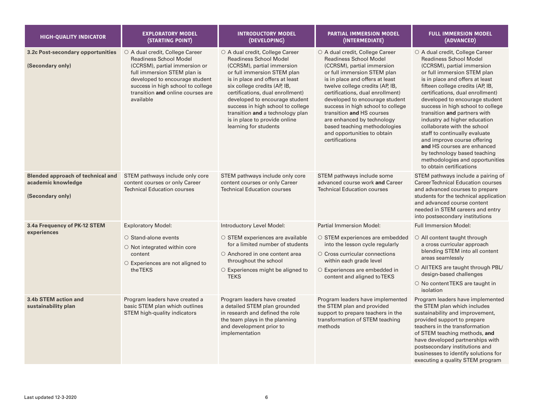| <b>HIGH-QUALITY INDICATOR</b>                                                      | <b>EXPLORATORY MODEL</b><br>(STARTING POINT)                                                                                                                                                                                                              | <b>INTRODUCTORY MODEL</b><br>(DEVELOPING)                                                                                                                                                                                                                                                                                                                                                                 | <b>PARTIAL IMMERSION MODEL</b><br>(INTERMEDIATE)                                                                                                                                                                                                                                                                                                                                                                                                           | <b>FULL IMMERSION MODEL</b><br>(ADVANCED)                                                                                                                                                                                                                                                                                                                                                                                                                                                                                                                                                                    |
|------------------------------------------------------------------------------------|-----------------------------------------------------------------------------------------------------------------------------------------------------------------------------------------------------------------------------------------------------------|-----------------------------------------------------------------------------------------------------------------------------------------------------------------------------------------------------------------------------------------------------------------------------------------------------------------------------------------------------------------------------------------------------------|------------------------------------------------------------------------------------------------------------------------------------------------------------------------------------------------------------------------------------------------------------------------------------------------------------------------------------------------------------------------------------------------------------------------------------------------------------|--------------------------------------------------------------------------------------------------------------------------------------------------------------------------------------------------------------------------------------------------------------------------------------------------------------------------------------------------------------------------------------------------------------------------------------------------------------------------------------------------------------------------------------------------------------------------------------------------------------|
| 3.2c Post-secondary opportunities<br>(Secondary only)                              | ○ A dual credit, College Career<br><b>Readiness School Model</b><br>(CCRSM), partial immersion or<br>full immersion STEM plan is<br>developed to encourage student<br>success in high school to college<br>transition and online courses are<br>available | ○ A dual credit, College Career<br><b>Readiness School Model</b><br>(CCRSM), partial immersion<br>or full immersion STEM plan<br>is in place and offers at least<br>six college credits (AP, IB,<br>certifications, dual enrollment)<br>developed to encourage student<br>success in high school to college<br>transition and a technology plan<br>is in place to provide online<br>learning for students | ○ A dual credit, College Career<br><b>Readiness School Model</b><br>(CCRSM), partial immersion<br>or full immersion STEM plan<br>is in place and offers at least<br>twelve college credits (AP, IB,<br>certifications, dual enrollment)<br>developed to encourage student<br>success in high school to college<br>transition and HS courses<br>are enhanced by technology<br>based teaching methodologies<br>and opportunities to obtain<br>certifications | ○ A dual credit, College Career<br><b>Readiness School Model</b><br>(CCRSM), partial immersion<br>or full immersion STEM plan<br>is in place and offers at least<br>fifteen college credits (AP, IB,<br>certifications, dual enrollment)<br>developed to encourage student<br>success in high school to college<br>transition and partners with<br>industry ad higher education<br>collaborate with the school<br>staff to continually evaluate<br>and improve course offering<br>and HS courses are enhanced<br>by technology based teaching<br>methodologies and opportunities<br>to obtain certifications |
| <b>Blended approach of technical and</b><br>academic knowledge<br>(Secondary only) | STEM pathways include only core<br>content courses or only Career<br><b>Technical Education courses</b>                                                                                                                                                   | STEM pathways include only core<br>content courses or only Career<br><b>Technical Education courses</b>                                                                                                                                                                                                                                                                                                   | STEM pathways include some<br>advanced course work and Career<br><b>Technical Education courses</b>                                                                                                                                                                                                                                                                                                                                                        | STEM pathways include a pairing of<br><b>Career Technical Education courses</b><br>and advanced courses to prepare<br>students for the technical application<br>and advanced course content<br>needed in STEM careers and entry<br>into postsecondary institutions                                                                                                                                                                                                                                                                                                                                           |
| 3.4a Frequency of PK-12 STEM<br>experiences                                        | <b>Exploratory Model:</b><br>$\circ$ Stand-alone events<br>$\circ$ Not integrated within core<br>content<br>$\circ$ Experiences are not aligned to<br>the TEKS                                                                                            | Introductory Level Model:<br>$\circ$ STEM experiences are available<br>for a limited number of students<br>○ Anchored in one content area<br>throughout the school<br>$\circ$ Experiences might be aligned to<br><b>TEKS</b>                                                                                                                                                                              | <b>Partial Immersion Model:</b><br>$\circ$ STEM experiences are embedded<br>into the lesson cycle regularly<br>$\circ$ Cross curricular connections<br>within each grade level<br>○ Experiences are embedded in<br>content and aligned to TEKS                                                                                                                                                                                                             | <b>Full Immersion Model:</b><br>$\circ$ All content taught through<br>a cross curricular approach<br>blending STEM into all content<br>areas seamlessly<br>○ AllTEKS are taught through PBL/<br>design-based challenges<br>O No content TEKS are taught in<br>isolation                                                                                                                                                                                                                                                                                                                                      |
| 3.4b STEM action and<br>sustainability plan                                        | Program leaders have created a<br>basic STEM plan which outlines<br>STEM high-quality indicators                                                                                                                                                          | Program leaders have created<br>a detailed STEM plan grounded<br>in research and defined the role<br>the team plays in the planning<br>and development prior to<br>implementation                                                                                                                                                                                                                         | Program leaders have implemented<br>the STEM plan and provided<br>support to prepare teachers in the<br>transformation of STEM teaching<br>methods                                                                                                                                                                                                                                                                                                         | Program leaders have implemented<br>the STEM plan which includes<br>sustainability and improvement,<br>provided support to prepare<br>teachers in the transformation<br>of STEM teaching methods, and<br>have developed partnerships with<br>postsecondary institutions and<br>businesses to identify solutions for<br>executing a quality STEM program                                                                                                                                                                                                                                                      |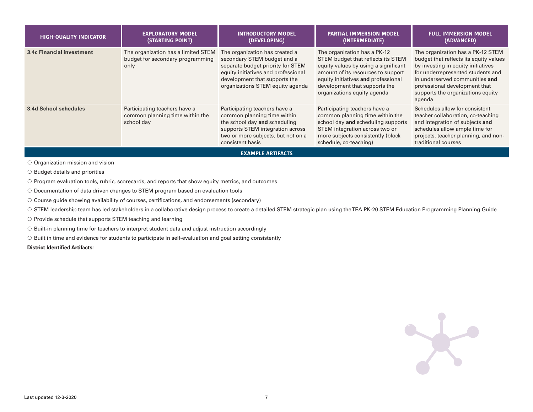| <b>HIGH-QUALITY INDICATOR</b>    | <b>EXPLORATORY MODEL</b><br>(STARTING POINT)                                    | <b>INTRODUCTORY MODEL</b><br>(DEVELOPING)                                                                                                                                                                      | <b>PARTIAL IMMERSION MODEL</b><br>(INTERMEDIATE)                                                                                                                                                                                                        | <b>FULL IMMERSION MODEL</b><br>(ADVANCED)                                                                                                                                                                                                                                |
|----------------------------------|---------------------------------------------------------------------------------|----------------------------------------------------------------------------------------------------------------------------------------------------------------------------------------------------------------|---------------------------------------------------------------------------------------------------------------------------------------------------------------------------------------------------------------------------------------------------------|--------------------------------------------------------------------------------------------------------------------------------------------------------------------------------------------------------------------------------------------------------------------------|
| <b>3.4c Financial investment</b> | The organization has a limited STEM<br>budget for secondary programming<br>only | The organization has created a<br>secondary STEM budget and a<br>separate budget priority for STEM<br>equity initiatives and professional<br>development that supports the<br>organizations STEM equity agenda | The organization has a PK-12<br>STEM budget that reflects its STEM<br>equity values by using a significant<br>amount of its resources to support<br>equity initiatives and professional<br>development that supports the<br>organizations equity agenda | The organization has a PK-12 STEM<br>budget that reflects its equity values<br>by investing in equity initiatives<br>for underrepresented students and<br>in underserved communities and<br>professional development that<br>supports the organizations equity<br>agenda |
| 3.4d School schedules            | Participating teachers have a<br>common planning time within the<br>school day  | Participating teachers have a<br>common planning time within<br>the school day and scheduling<br>supports STEM integration across<br>two or more subjects, but not on a<br>consistent basis                    | Participating teachers have a<br>common planning time within the<br>school day and scheduling supports<br>STEM integration across two or<br>more subjects consistently (block<br>schedule, co-teaching)                                                 | Schedules allow for consistent<br>teacher collaboration, co-teaching<br>and integration of subjects and<br>schedules allow ample time for<br>projects, teacher planning, and non-<br>traditional courses                                                                 |
|                                  |                                                                                 | <b>EXAMPLE ARTIFACTS</b>                                                                                                                                                                                       |                                                                                                                                                                                                                                                         |                                                                                                                                                                                                                                                                          |

 $\circ$  Organization mission and vision

 $\circ$  Budget details and priorities

• Program evaluation tools, rubric, scorecards, and reports that show equity metrics, and outcomes

• Documentation of data driven changes to STEM program based on evaluation tools

 $\circ$  Course guide showing availability of courses, certifications, and endorsements (secondary)

O STEM leadership team has led stakeholders in a collaborative design process to create a detailed STEM strategic plan using the TEA PK-20 STEM Education Programming Planning Guide

 $\circ$  Provide schedule that supports STEM teaching and learning

• Built-in planning time for teachers to interpret student data and adjust instruction accordingly

 $\circ$  Built in time and evidence for students to participate in self-evaluation and goal setting consistently

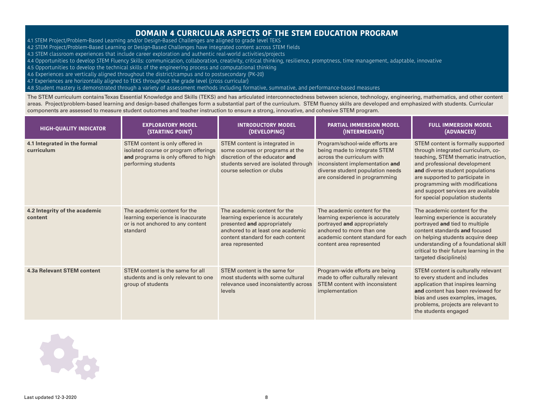### **DOMAIN 4 CURRICULAR ASPECTS OF THE STEM EDUCATION PROGRAM**

- 4.1 STEM Project/Problem-Based Learning and/or Design-Based Challenges are aligned to grade level TEKS
- 4.2 STEM Project/Problem-Based Learning or Design-Based Challenges have integrated content across STEM fields
- 4.3 STEM classroom experiences that include career exploration and authentic real-world activities/projects
- 4.4 Opportunities to develop STEM Fluency Skills: communication, collaboration, creativity, critical thinking, resilience, promptness, time management, adaptable, innovative
- 4.5 Opportunities to develop the technical skills of the engineering process and computational thinking
- 4.6 Experiences are vertically aligned throughout the district/campus and to postsecondary (PK-20)
- 4.7 Experiences are horizontally aligned to TEKS throughout the grade level (cross curricular)

4.8 Student mastery is demonstrated through a variety of assessment methods including formative, summative, and performance-based measures

The STEM curriculum contains Texas Essential Knowledge and Skills (TEKS) and has articulated interconnectedness between science, technology, engineering, mathematics, and other content areas. Project/problem-based learning and design-based challenges form a substantial part of the curriculum. STEM fluency skills are developed and emphasized with students. Curricular components are assessed to measure student outcomes and teacher instruction to ensure a strong, innovative, and cohesive STEM program.

| <b>HIGH-QUALITY INDICATOR</b>              | <b>EXPLORATORY MODEL</b><br>(STARTING POINT)                                                                                           | <b>INTRODUCTORY MODEL</b><br>(DEVELOPING)                                                                                                                                                      | <b>PARTIAL IMMERSION MODEL</b><br>(INTERMEDIATE)                                                                                                                                                      | <b>FULL IMMERSION MODEL</b><br>(ADVANCED)                                                                                                                                                                                                                                                                                         |
|--------------------------------------------|----------------------------------------------------------------------------------------------------------------------------------------|------------------------------------------------------------------------------------------------------------------------------------------------------------------------------------------------|-------------------------------------------------------------------------------------------------------------------------------------------------------------------------------------------------------|-----------------------------------------------------------------------------------------------------------------------------------------------------------------------------------------------------------------------------------------------------------------------------------------------------------------------------------|
| 4.1 Integrated in the formal<br>curriculum | STEM content is only offered in<br>isolated course or program offerings<br>and programs is only offered to high<br>performing students | STEM content is integrated in<br>some courses or programs at the<br>discretion of the educator and<br>students served are isolated through<br>course selection or clubs                        | Program/school-wide efforts are<br>being made to integrate STEM<br>across the curriculum with<br>inconsistent implementation and<br>diverse student population needs<br>are considered in programming | STEM content is formally supported<br>through integrated curriculum, co-<br>teaching, STEM thematic instruction,<br>and professional development<br>and diverse student populations<br>are supported to participate in<br>programming with modifications<br>and support services are available<br>for special population students |
| 4.2 Integrity of the academic<br>content   | The academic content for the<br>learning experience is inaccurate<br>or is not anchored to any content<br>standard                     | The academic content for the<br>learning experience is accurately<br>presented and appropriately<br>anchored to at least one academic<br>content standard for each content<br>area represented | The academic content for the<br>learning experience is accurately<br>portrayed and appropriately<br>anchored to more than one<br>academic content standard for each<br>content area represented       | The academic content for the<br>learning experience is accurately<br>portrayed and tied to multiple<br>content standards and focused<br>on helping students acquire deep<br>understanding of a foundational skill<br>critical to their future learning in the<br>targeted discipline(s)                                           |
| 4.3a Relevant STEM content                 | STEM content is the same for all<br>students and is only relevant to one<br>group of students                                          | STEM content is the same for<br>most students with some cultural<br>relevance used inconsistently across<br>levels                                                                             | Program-wide efforts are being<br>made to offer culturally relevant<br>STEM content with inconsistent<br>implementation                                                                               | STEM content is culturally relevant<br>to every student and includes<br>application that inspires learning<br>and content has been reviewed for<br>bias and uses examples, images,<br>problems, projects are relevant to<br>the students engaged                                                                                  |

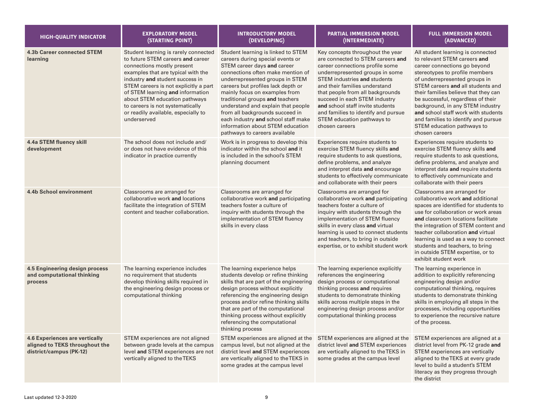| <b>HIGH-QUALITY INDICATOR</b>                                                                      | <b>EXPLORATORY MODEL</b><br>(STARTING POINT)                                                                                                                                                                                                                                                                                                                                             | <b>INTRODUCTORY MODEL</b><br>(DEVELOPING)                                                                                                                                                                                                                                                                                                                                                                                                                                    | <b>PARTIAL IMMERSION MODEL</b><br>(INTERMEDIATE)                                                                                                                                                                                                                                                                                                                                                                    | <b>FULL IMMERSION MODEL</b><br>(ADVANCED)                                                                                                                                                                                                                                                                                                                                                                                                                 |
|----------------------------------------------------------------------------------------------------|------------------------------------------------------------------------------------------------------------------------------------------------------------------------------------------------------------------------------------------------------------------------------------------------------------------------------------------------------------------------------------------|------------------------------------------------------------------------------------------------------------------------------------------------------------------------------------------------------------------------------------------------------------------------------------------------------------------------------------------------------------------------------------------------------------------------------------------------------------------------------|---------------------------------------------------------------------------------------------------------------------------------------------------------------------------------------------------------------------------------------------------------------------------------------------------------------------------------------------------------------------------------------------------------------------|-----------------------------------------------------------------------------------------------------------------------------------------------------------------------------------------------------------------------------------------------------------------------------------------------------------------------------------------------------------------------------------------------------------------------------------------------------------|
| <b>4.3b Career connected STEM</b><br>learning                                                      | Student learning is rarely connected<br>to future STEM careers and career<br>connections mostly present<br>examples that are typical with the<br>industry and student success in<br>STEM careers is not explicitly a part<br>of STEM learning and information<br>about STEM education pathways<br>to careers is not systematically<br>or readily available, especially to<br>underserved | Student learning is linked to STEM<br>careers during special events or<br>STEM career days and career<br>connections often make mention of<br>underrepresented groups in STEM<br>careers but profiles lack depth or<br>mainly focus on examples from<br>traditional groups and teachers<br>understand and explain that people<br>from all backgrounds succeed in<br>each industry and school staff make<br>information about STEM education<br>pathways to careers available | Key concepts throughout the year<br>are connected to STEM careers and<br>career connections profile some<br>underrepresented groups in some<br><b>STEM</b> industries and students<br>and their families understand<br>that people from all backgrounds<br>succeed in each STEM industry<br>and school staff invite students<br>and families to identify and pursue<br>STEM education pathways to<br>chosen careers | All student learning is connected<br>to relevant STEM careers and<br>career connections go beyond<br>stereotypes to profile members<br>of underrepresented groups in<br>STEM careers and all students and<br>their families believe that they can<br>be successful, regardless of their<br>background, in any STEM industry<br>and school staff work with students<br>and families to identify and pursue<br>STEM education pathways to<br>chosen careers |
| 4.4a STEM fluency skill<br>development                                                             | The school does not include and/<br>or does not have evidence of this<br>indicator in practice currently                                                                                                                                                                                                                                                                                 | Work is in progress to develop this<br>indicator within the school and it<br>is included in the school's STEM<br>planning document                                                                                                                                                                                                                                                                                                                                           | Experiences require students to<br>exercise STEM fluency skills and<br>require students to ask questions,<br>define problems, and analyze<br>and interpret data and encourage<br>students to effectively communicate<br>and collaborate with their peers                                                                                                                                                            | Experiences require students to<br>exercise STEM fluency skills and<br>require students to ask questions,<br>define problems, and analyze and<br>interpret data and require students<br>to effectively communicate and<br>collaborate with their peers                                                                                                                                                                                                    |
| 4.4b School environment                                                                            | Classrooms are arranged for<br>collaborative work and locations<br>facilitate the integration of STEM<br>content and teacher collaboration.                                                                                                                                                                                                                                              | Classrooms are arranged for<br>collaborative work and participating<br>teachers foster a culture of<br>inquiry with students through the<br>implementation of STEM fluency<br>skills in every class                                                                                                                                                                                                                                                                          | Classrooms are arranged for<br>collaborative work and participating<br>teachers foster a culture of<br>inquiry with students through the<br>implementation of STEM fluency<br>skills in every class and virtual<br>learning is used to connect students<br>and teachers, to bring in outside<br>expertise, or to exhibit student work                                                                               | Classrooms are arranged for<br>collaborative work and additional<br>spaces are identified for students to<br>use for collaboration or work areas<br>and classroom locations facilitate<br>the integration of STEM content and<br>teacher collaboration and virtual<br>learning is used as a way to connect<br>students and teachers, to bring<br>in outside STEM expertise, or to<br>exhibit student work                                                 |
| 4.5 Engineering design process<br>and computational thinking<br>process                            | The learning experience includes<br>no requirement that students<br>develop thinking skills required in<br>the engineering design process or<br>computational thinking                                                                                                                                                                                                                   | The learning experience helps<br>students develop or refine thinking<br>skills that are part of the engineering<br>design process without explicitly<br>referencing the engineering design<br>process and/or refine thinking skills<br>that are part of the computational<br>thinking process without explicitly<br>referencing the computational<br>thinking process                                                                                                        | The learning experience explicitly<br>references the engineering<br>design process or computational<br>thinking process and requires<br>students to demonstrate thinking<br>skills across multiple steps in the<br>engineering design process and/or<br>computational thinking process                                                                                                                              | The learning experience in<br>addition to explicitly referencing<br>engineering design and/or<br>computational thinking, requires<br>students to demonstrate thinking<br>skills in employing all steps in the<br>processes, including opportunities<br>to experience the recursive nature<br>of the process.                                                                                                                                              |
| <b>4.6 Experiences are vertically</b><br>aligned to TEKS throughout the<br>district/campus (PK-12) | STEM experiences are not aligned<br>between grade levels at the campus<br>level and STEM experiences are not<br>vertically aligned to the TEKS                                                                                                                                                                                                                                           | STEM experiences are aligned at the<br>campus level, but not aligned at the<br>district level and STEM experiences<br>are vertically aligned to the TEKS in<br>some grades at the campus level                                                                                                                                                                                                                                                                               | STEM experiences are aligned at the<br>district level and STEM experiences<br>are vertically aligned to the TEKS in<br>some grades at the campus level                                                                                                                                                                                                                                                              | STEM experiences are aligned at a<br>district level from PK-12 grade and<br>STEM experiences are vertically<br>aligned to the TEKS at every grade<br>level to build a student's STEM<br>literacy as they progress through<br>the district                                                                                                                                                                                                                 |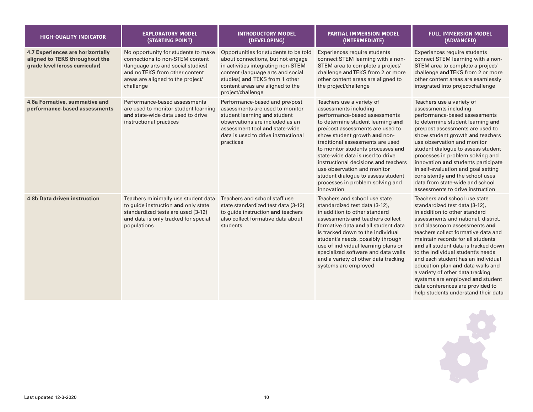| <b>HIGH-QUALITY INDICATOR</b>                                                                        | <b>EXPLORATORY MODEL</b><br>(STARTING POINT)                                                                                                                                                     | <b>INTRODUCTORY MODEL</b><br>(DEVELOPING)                                                                                                                                                                                                        | <b>PARTIAL IMMERSION MODEL</b><br>(INTERMEDIATE)                                                                                                                                                                                                                                                                                                                                                                                                                         | <b>FULL IMMERSION MODEL</b><br>(ADVANCED)                                                                                                                                                                                                                                                                                                                                                                                                                                                                                                                       |
|------------------------------------------------------------------------------------------------------|--------------------------------------------------------------------------------------------------------------------------------------------------------------------------------------------------|--------------------------------------------------------------------------------------------------------------------------------------------------------------------------------------------------------------------------------------------------|--------------------------------------------------------------------------------------------------------------------------------------------------------------------------------------------------------------------------------------------------------------------------------------------------------------------------------------------------------------------------------------------------------------------------------------------------------------------------|-----------------------------------------------------------------------------------------------------------------------------------------------------------------------------------------------------------------------------------------------------------------------------------------------------------------------------------------------------------------------------------------------------------------------------------------------------------------------------------------------------------------------------------------------------------------|
| 4.7 Experiences are horizontally<br>aligned to TEKS throughout the<br>grade level (cross curricular) | No opportunity for students to make<br>connections to non-STEM content<br>(language arts and social studies)<br>and no TEKS from other content<br>areas are aligned to the project/<br>challenge | Opportunities for students to be told<br>about connections, but not engage<br>in activities integrating non-STEM<br>content (language arts and social<br>studies) and TEKS from 1 other<br>content areas are aligned to the<br>project/challenge | Experiences require students<br>connect STEM learning with a non-<br>STEM area to complete a project/<br>challenge and TEKS from 2 or more<br>other content areas are aligned to<br>the project/challenge                                                                                                                                                                                                                                                                | Experiences require students<br>connect STEM learning with a non-<br>STEM area to complete a project/<br>challenge and TEKS from 2 or more<br>other content areas are seamlessly<br>integrated into project/challenge                                                                                                                                                                                                                                                                                                                                           |
| 4.8a Formative, summative and<br>performance-based assessments                                       | Performance-based assessments<br>are used to monitor student learning<br>and state-wide data used to drive<br>instructional practices                                                            | Performance-based and pre/post<br>assessments are used to monitor<br>student learning and student<br>observations are included as an<br>assessment tool and state-wide<br>data is used to drive instructional<br>practices                       | Teachers use a variety of<br>assessments including<br>performance-based assessments<br>to determine student learning and<br>pre/post assessments are used to<br>show student growth and non-<br>traditional assessments are used<br>to monitor students processes and<br>state-wide data is used to drive<br>instructional decisions and teachers<br>use observation and monitor<br>student dialogue to assess student<br>processes in problem solving and<br>innovation | Teachers use a variety of<br>assessments including<br>performance-based assessments<br>to determine student learning and<br>pre/post assessments are used to<br>show student growth and teachers<br>use observation and monitor<br>student dialogue to assess student<br>processes in problem solving and<br>innovation and students participate<br>in self-evaluation and goal setting<br>consistently and the school uses<br>data from state-wide and school<br>assessments to drive instruction                                                              |
| <b>4.8b Data driven instruction</b>                                                                  | Teachers minimally use student data<br>to guide instruction and only state<br>standardized tests are used (3-12)<br>and data is only tracked for special<br>populations                          | Teachers and school staff use<br>state standardized test data (3-12)<br>to guide instruction and teachers<br>also collect formative data about<br>students                                                                                       | Teachers and school use state<br>standardized test data (3-12),<br>in addition to other standard<br>assessments and teachers collect<br>formative data and all student data<br>is tracked down to the individual<br>student's needs, possibly through<br>use of individual learning plans or<br>specialized software and data walls<br>and a variety of other data tracking<br>systems are employed                                                                      | Teachers and school use state<br>standardized test data (3-12),<br>in addition to other standard<br>assessments and national, district,<br>and classroom assessments and<br>teachers collect formative data and<br>maintain records for all students<br>and all student data is tracked down<br>to the individual student's needs<br>and each student has an individual<br>education plan and data walls and<br>a variety of other data tracking<br>systems are employed and student<br>data conferences are provided to<br>help students understand their data |

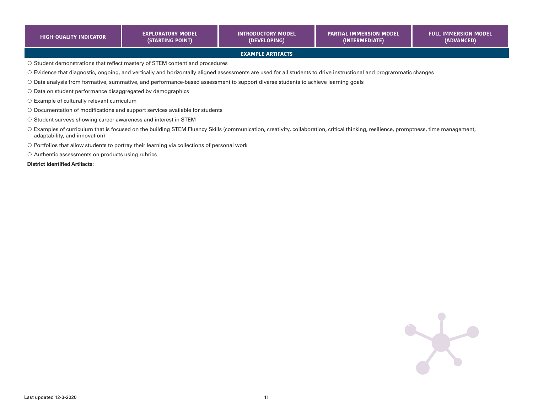| <b>HIGH-QUALITY INDICATOR</b>                                                                                                                                                                                        | <b>EXPLORATORY MODEL</b><br>(STARTING POINT)                                                      | <b>INTRODUCTORY MODEL</b><br>(DEVELOPING)                                                                                         | <b>PARTIAL IMMERSION MODEL</b><br>(INTERMEDIATE)                                                                                                                   | <b>FULL IMMERSION MODEL</b><br>(ADVANCED) |  |
|----------------------------------------------------------------------------------------------------------------------------------------------------------------------------------------------------------------------|---------------------------------------------------------------------------------------------------|-----------------------------------------------------------------------------------------------------------------------------------|--------------------------------------------------------------------------------------------------------------------------------------------------------------------|-------------------------------------------|--|
| <b>EXAMPLE ARTIFACTS</b>                                                                                                                                                                                             |                                                                                                   |                                                                                                                                   |                                                                                                                                                                    |                                           |  |
|                                                                                                                                                                                                                      | $\circ$ Student demonstrations that reflect mastery of STEM content and procedures                |                                                                                                                                   |                                                                                                                                                                    |                                           |  |
|                                                                                                                                                                                                                      |                                                                                                   |                                                                                                                                   | ○ Evidence that diagnostic, ongoing, and vertically and horizontally aligned assessments are used for all students to drive instructional and programmatic changes |                                           |  |
|                                                                                                                                                                                                                      |                                                                                                   | ○ Data analysis from formative, summative, and performance-based assessment to support diverse students to achieve learning goals |                                                                                                                                                                    |                                           |  |
| $\circ$ Data on student performance disaggregated by demographics                                                                                                                                                    |                                                                                                   |                                                                                                                                   |                                                                                                                                                                    |                                           |  |
| $\circ$ Example of culturally relevant curriculum                                                                                                                                                                    |                                                                                                   |                                                                                                                                   |                                                                                                                                                                    |                                           |  |
|                                                                                                                                                                                                                      | ○ Documentation of modifications and support services available for students                      |                                                                                                                                   |                                                                                                                                                                    |                                           |  |
| ○ Student surveys showing career awareness and interest in STEM                                                                                                                                                      |                                                                                                   |                                                                                                                                   |                                                                                                                                                                    |                                           |  |
| O Examples of curriculum that is focused on the building STEM Fluency Skills (communication, creativity, collaboration, critical thinking, resilience, promptness, time management,<br>adaptability, and innovation) |                                                                                                   |                                                                                                                                   |                                                                                                                                                                    |                                           |  |
|                                                                                                                                                                                                                      | $\circ$ Portfolios that allow students to portray their learning via collections of personal work |                                                                                                                                   |                                                                                                                                                                    |                                           |  |

O Authentic assessments on products using rubrics

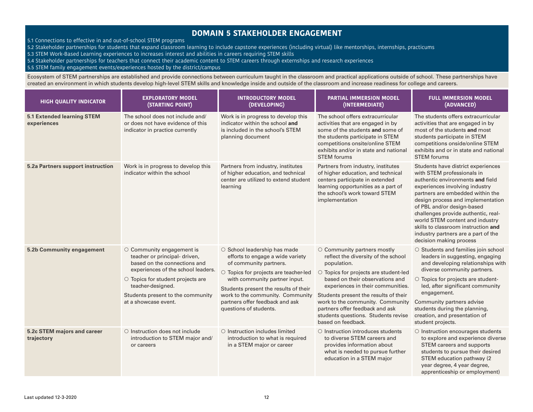### **DOMAIN 5 STAKEHOLDER ENGAGEMENT**

5.1 Connections to effective in and out-of-school STEM programs

- 5.2 Stakeholder partnerships for students that expand classroom learning to include capstone experiences (including virtual) like mentorships, internships, practicums
- 5.3 STEM Work-Based Learning experiences to increases interest and abilities in careers requiring STEM skills
- 5.4 Stakeholder partnerships for teachers that connect their academic content to STEM careers through externships and research experiences

5.5 STEM family engagement events/experiences hosted by the district/campus

Ecosystem of STEM partnerships are established and provide connections between curriculum taught in the classroom and practical applications outside of school. These partnerships have created an environment in which students develop high-level STEM skills and knowledge inside and outside of the classroom and increase readiness for college and careers.

| <b>HIGH QUALITY INDICATOR</b>                    | <b>EXPLORATORY MODEL</b><br>(STARTING POINT)                                                                                                                                                                                                                        | <b>INTRODUCTORY MODEL</b><br>(DEVELOPING)                                                                                                                                                                                                                                                                      | <b>PARTIAL IMMERSION MODEL</b><br>(INTERMEDIATE)                                                                                                                                                                                                                                                                                                                                | <b>FULL IMMERSION MODEL</b><br>(ADVANCED)                                                                                                                                                                                                                                                                                                                                                                                        |
|--------------------------------------------------|---------------------------------------------------------------------------------------------------------------------------------------------------------------------------------------------------------------------------------------------------------------------|----------------------------------------------------------------------------------------------------------------------------------------------------------------------------------------------------------------------------------------------------------------------------------------------------------------|---------------------------------------------------------------------------------------------------------------------------------------------------------------------------------------------------------------------------------------------------------------------------------------------------------------------------------------------------------------------------------|----------------------------------------------------------------------------------------------------------------------------------------------------------------------------------------------------------------------------------------------------------------------------------------------------------------------------------------------------------------------------------------------------------------------------------|
| <b>5.1 Extended learning STEM</b><br>experiences | The school does not include and/<br>or does not have evidence of this<br>indicator in practice currently                                                                                                                                                            | Work is in progress to develop this<br>indicator within the school and<br>is included in the school's STEM<br>planning document                                                                                                                                                                                | The school offers extracurricular<br>activities that are engaged in by<br>some of the students and some of<br>the students participate in STEM<br>competitions onsite/online STEM<br>exhibits and/or in state and national<br><b>STEM</b> forums                                                                                                                                | The students offers extracurricular<br>activities that are engaged in by<br>most of the students and most<br>students participate in STEM<br>competitions onside/online STEM<br>exhibits and or in state and national<br><b>STEM</b> forums                                                                                                                                                                                      |
| 5.2a Partners support instruction                | Work is in progress to develop this<br>indicator within the school                                                                                                                                                                                                  | Partners from industry, institutes<br>of higher education, and technical<br>center are utilized to extend student<br>learning                                                                                                                                                                                  | Partners from industry, institutes<br>of higher education, and technical<br>centers participate in extended<br>learning opportunities as a part of<br>the school's work toward STEM<br>implementation                                                                                                                                                                           | Students have district experiences<br>with STEM professionals in<br>authentic environments and field<br>experiences involving industry<br>partners are embedded within the<br>design process and implementation<br>of PBL and/or design-based<br>challenges provide authentic, real-<br>world STEM content and industry<br>skills to classroom instruction and<br>industry partners are a part of the<br>decision making process |
| 5.2b Community engagement                        | $\circ$ Community engagement is<br>teacher or principal- driven,<br>based on the connections and<br>experiences of the school leaders.<br>$\circ$ Topics for student projects are<br>teacher-designed.<br>Students present to the community<br>at a showcase event. | ○ School leadership has made<br>efforts to engage a wide variety<br>of community partners.<br>○ Topics for projects are teacher-led<br>with community partner input.<br>Students present the results of their<br>work to the community. Community<br>partners offer feedback and ask<br>questions of students. | O Community partners mostly<br>reflect the diversity of the school<br>population.<br>O Topics for projects are student-led<br>based on their observations and<br>experiences in their communities.<br>Students present the results of their<br>work to the community. Community<br>partners offer feedback and ask<br>students questions. Students revise<br>based on feedback. | O Students and families join school<br>leaders in suggesting, engaging<br>and developing relationships with<br>diverse community partners.<br>$\circ$ Topics for projects are student-<br>led, after significant community<br>engagement.<br>Community partners advise<br>students during the planning,<br>creation, and presentation of<br>student projects.                                                                    |
| 5.2c STEM majors and career<br>trajectory        | $\circ$ Instruction does not include<br>introduction to STEM major and/<br>or careers                                                                                                                                                                               | $\circ$ Instruction includes limited<br>introduction to what is required<br>in a STEM major or career                                                                                                                                                                                                          | $\circ$ Instruction introduces students<br>to diverse STEM careers and<br>provides information about<br>what is needed to pursue further<br>education in a STEM major                                                                                                                                                                                                           | O Instruction encourages students<br>to explore and experience diverse<br>STEM careers and supports<br>students to pursue their desired<br>STEM education pathway (2<br>year degree, 4 year degree,<br>apprenticeship or employment)                                                                                                                                                                                             |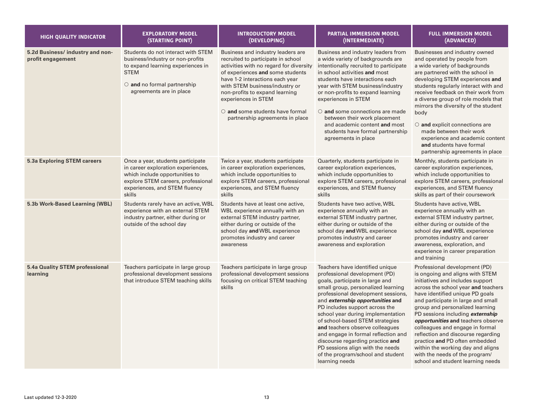| <b>HIGH QUALITY INDICATOR</b>                         | <b>EXPLORATORY MODEL</b><br>(STARTING POINT)                                                                                                                                               | <b>INTRODUCTORY MODEL</b><br>(DEVELOPING)                                                                                                                                                                                                                                                                                                                        | <b>PARTIAL IMMERSION MODEL</b><br>(INTERMEDIATE)                                                                                                                                                                                                                                                                                                                                                                                                                                                                                              | <b>FULL IMMERSION MODEL</b><br>(ADVANCED)                                                                                                                                                                                                                                                                                                                                                                                                                                                                                                                       |
|-------------------------------------------------------|--------------------------------------------------------------------------------------------------------------------------------------------------------------------------------------------|------------------------------------------------------------------------------------------------------------------------------------------------------------------------------------------------------------------------------------------------------------------------------------------------------------------------------------------------------------------|-----------------------------------------------------------------------------------------------------------------------------------------------------------------------------------------------------------------------------------------------------------------------------------------------------------------------------------------------------------------------------------------------------------------------------------------------------------------------------------------------------------------------------------------------|-----------------------------------------------------------------------------------------------------------------------------------------------------------------------------------------------------------------------------------------------------------------------------------------------------------------------------------------------------------------------------------------------------------------------------------------------------------------------------------------------------------------------------------------------------------------|
| 5.2d Business/ industry and non-<br>profit engagement | Students do not interact with STEM<br>business/industry or non-profits<br>to expand learning experiences in<br><b>STEM</b><br>$\circ$ and no formal partnership<br>agreements are in place | Business and industry leaders are<br>recruited to participate in school<br>activities with no regard for diversity<br>of experiences and some students<br>have 1-2 interactions each year<br>with STEM business/industry or<br>non-profits to expand learning<br>experiences in STEM<br>$\circ$ and some students have formal<br>partnership agreements in place | Business and industry leaders from<br>a wide variety of backgrounds are<br>intentionally recruited to participate<br>in school activities and most<br>students have interactions each<br>year with STEM business/industry<br>or non-profits to expand learning<br>experiences in STEM<br>$\circ$ and some connections are made<br>between their work placement<br>and academic content and most<br>students have formal partnership<br>agreements in place                                                                                    | Businesses and industry owned<br>and operated by people from<br>a wide variety of backgrounds<br>are partnered with the school in<br>developing STEM experiences and<br>students regularly interact with and<br>receive feedback on their work from<br>a diverse group of role models that<br>mirrors the diversity of the student<br>body<br>$\circ$ and explicit connections are<br>made between their work<br>experience and academic content<br>and students have formal<br>partnership agreements in place                                                 |
| <b>5.3a Exploring STEM careers</b>                    | Once a year, students participate<br>in career exploration experiences,<br>which include opportunities to<br>explore STEM careers, professional<br>experiences, and STEM fluency<br>skills | Twice a year, students participate<br>in career exploration experiences,<br>which include opportunities to<br>explore STEM careers, professional<br>experiences, and STEM fluency<br>skills                                                                                                                                                                      | Quarterly, students participate in<br>career exploration experiences,<br>which include opportunities to<br>explore STEM careers, professional<br>experiences, and STEM fluency<br>skills                                                                                                                                                                                                                                                                                                                                                      | Monthly, students participate in<br>career exploration experiences,<br>which include opportunities to<br>explore STEM careers, professional<br>experiences, and STEM fluency<br>skills as part of their coursework                                                                                                                                                                                                                                                                                                                                              |
| 5.3b Work-Based Learning (WBL)                        | Students rarely have an active, WBL<br>experience with an external STEM<br>industry partner, either during or<br>outside of the school day                                                 | Students have at least one active,<br>WBL experience annually with an<br>external STEM industry partner,<br>either during or outside of the<br>school day and WBL experience<br>promotes industry and career<br>awareness                                                                                                                                        | Students have two active, WBL<br>experience annually with an<br>external STEM industry partner,<br>either during or outside of the<br>school day and WBL experience<br>promotes industry and career<br>awareness and exploration                                                                                                                                                                                                                                                                                                              | Students have active, WBL<br>experience annually with an<br>external STEM industry partner,<br>either during or outside of the<br>school day and WBL experience<br>promotes industry and career<br>awareness, exploration, and<br>experience in career preparation<br>and training                                                                                                                                                                                                                                                                              |
| <b>5.4a Quality STEM professional</b><br>learning     | Teachers participate in large group<br>professional development sessions<br>that introduce STEM teaching skills                                                                            | Teachers participate in large group<br>professional development sessions<br>focusing on critical STEM teaching<br>skills                                                                                                                                                                                                                                         | Teachers have identified unique<br>professional development (PD)<br>goals, participate in large and<br>small group, personalized learning<br>professional development sessions,<br>and <i>externship opportunities</i> and<br>PD includes support across the<br>school year during implementation<br>of school-based STEM strategies<br>and teachers observe colleagues<br>and engage in formal reflection and<br>discourse regarding practice and<br>PD sessions align with the needs<br>of the program/school and student<br>learning needs | Professional development (PD)<br>is ongoing and aligns with STEM<br>initiatives and includes support<br>across the school year and teachers<br>have identified unique PD goals<br>and participate in large and small<br>group and personalized learning<br>PD sessions including <i>externship</i><br>opportunities and teachers observe<br>colleagues and engage in formal<br>reflection and discourse regarding<br>practice and PD often embedded<br>within the working day and aligns<br>with the needs of the program/<br>school and student learning needs |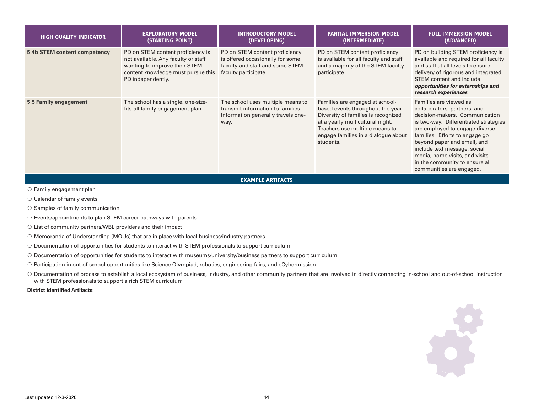| <b>HIGH QUALITY INDICATOR</b> | <b>EXPLORATORY MODEL</b><br>(STARTING POINT)                                                                                                                         | <b>INTRODUCTORY MODEL</b><br>(DEVELOPING)                                                                                     | <b>PARTIAL IMMERSION MODEL</b><br>(INTERMEDIATE)                                                                                                                                                                                      | <b>FULL IMMERSION MODEL</b><br>(ADVANCED)                                                                                                                                                                                                                                                                                                                            |  |
|-------------------------------|----------------------------------------------------------------------------------------------------------------------------------------------------------------------|-------------------------------------------------------------------------------------------------------------------------------|---------------------------------------------------------------------------------------------------------------------------------------------------------------------------------------------------------------------------------------|----------------------------------------------------------------------------------------------------------------------------------------------------------------------------------------------------------------------------------------------------------------------------------------------------------------------------------------------------------------------|--|
| 5.4b STEM content competency  | PD on STEM content proficiency is<br>not available. Any faculty or staff<br>wanting to improve their STEM<br>content knowledge must pursue this<br>PD independently. | PD on STEM content proficiency<br>is offered occasionally for some<br>faculty and staff and some STEM<br>faculty participate. | PD on STEM content proficiency<br>is available for all faculty and staff<br>and a majority of the STEM faculty<br>participate.                                                                                                        | PD on building STEM proficiency is<br>available and required for all faculty<br>and staff at all levels to ensure<br>delivery of rigorous and integrated<br>STEM content and include<br>opportunities for externships and<br>research experiences                                                                                                                    |  |
| 5.5 Family engagement         | The school has a single, one-size-<br>fits-all family engagement plan.                                                                                               | The school uses multiple means to<br>transmit information to families.<br>Information generally travels one-<br>way.          | Families are engaged at school-<br>based events throughout the year.<br>Diversity of families is recognized<br>at a yearly multicultural night.<br>Teachers use multiple means to<br>engage families in a dialogue about<br>students. | Families are viewed as<br>collaborators, partners, and<br>decision-makers. Communication<br>is two-way. Differentiated strategies<br>are employed to engage diverse<br>families. Efforts to engage go<br>beyond paper and email, and<br>include text message, social<br>media, home visits, and visits<br>in the community to ensure all<br>communities are engaged. |  |
| <b>EXAMPLE ARTIFACTS</b>      |                                                                                                                                                                      |                                                                                                                               |                                                                                                                                                                                                                                       |                                                                                                                                                                                                                                                                                                                                                                      |  |

- $\circ$  Family engagement plan
- $\circlearrowright$  Calendar of family events
- $\circ$  Samples of family communication
- $\circ$  Events/appointments to plan STEM career pathways with parents
- $\circ$  List of community partners/WBL providers and their impact
- Memoranda of Understanding (MOUs) that are in place with local business/industry partners
- Documentation of opportunities for students to interact with STEM professionals to support curriculum
- Documentation of opportunities for students to interact with museums/university/business partners to support curriculum
- Participation in out-of-school opportunities like Science Olympiad, robotics, engineering fairs, and eCybermission
- O Documentation of process to establish a local ecosystem of business, industry, and other community partners that are involved in directly connecting in-school and out-of-school instruction with STEM professionals to support a rich STEM curriculum
- **District Identified Artifacts:**

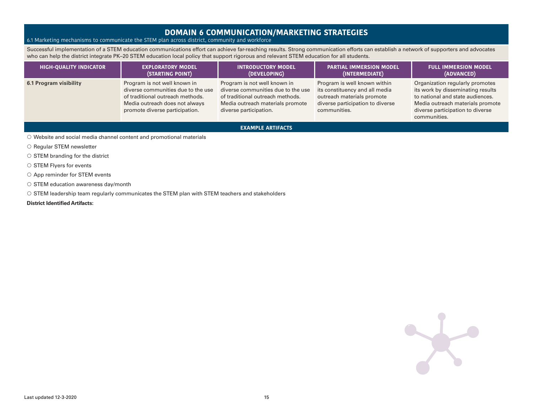### **DOMAIN 6 COMMUNICATION/MARKETING STRATEGIES**

### 6.1 Marketing mechanisms to communicate the STEM plan across district, community and workforce

Successful implementation of a STEM education communications effort can achieve far-reaching results. Strong communication efforts can establish a network of supporters and advocates who can help the district integrate PK–20 STEM education local policy that support rigorous and relevant STEM education for all students.

| <b>HIGH-QUALITY INDICATOR</b> | <b>EXPLORATORY MODEL</b>                                                                                                                                                   | <b>INTRODUCTORY MODEL</b>                                                                                                                                            | <b>PARTIAL IMMERSION MODEL</b>                                                                                                                   | <b>FULL IMMERSION MODEL</b>                                                                                                                                                                      |
|-------------------------------|----------------------------------------------------------------------------------------------------------------------------------------------------------------------------|----------------------------------------------------------------------------------------------------------------------------------------------------------------------|--------------------------------------------------------------------------------------------------------------------------------------------------|--------------------------------------------------------------------------------------------------------------------------------------------------------------------------------------------------|
|                               | (STARTING POINT)                                                                                                                                                           | (DEVELOPING)                                                                                                                                                         | (INTERMEDIATE)                                                                                                                                   | (ADVANCED)                                                                                                                                                                                       |
| 6.1 Program visibility        | Program is not well known in<br>diverse communities due to the use<br>of traditional outreach methods.<br>Media outreach does not always<br>promote diverse participation. | Program is not well known in<br>diverse communities due to the use<br>of traditional outreach methods.<br>Media outreach materials promote<br>diverse participation. | Program is well known within<br>its constituency and all media<br>outreach materials promote<br>diverse participation to diverse<br>communities. | Organization regularly promotes<br>its work by disseminating results<br>to national and state audiences.<br>Media outreach materials promote<br>diverse participation to diverse<br>communities. |

**EXAMPLE ARTIFACTS**

- $\circ$  Website and social media channel content and promotional materials
- $\circ$  Regular STEM newsletter
- $\circ$  STEM branding for the district
- $\circ$  STEM Flyers for events
- $\circlearrowright$  App reminder for STEM events
- $\circ$  STEM education awareness day/month
- $\circ$  STEM leadership team regularly communicates the STEM plan with STEM teachers and stakeholders

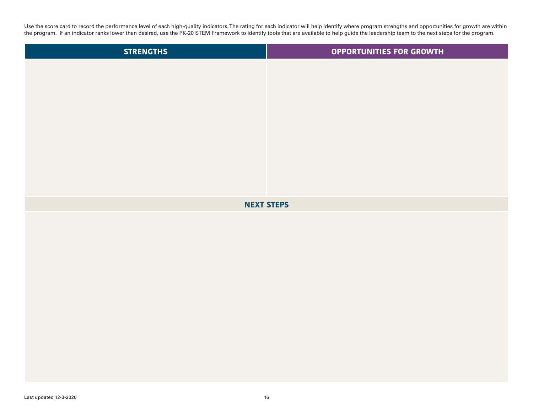Use the score card to record the performance level of each high-quality indicators. The rating for each indicator will help identify where program strengths and opportunities for growth are within the program. If an indicator ranks lower than desired, use the PK-20 STEM Framework to identify tools that are available to help guide the leadership team to the next steps for the program.

| <b>STRENGTHS</b>  | <b>OPPORTUNITIES FOR GROWTH</b> |  |  |  |  |
|-------------------|---------------------------------|--|--|--|--|
|                   |                                 |  |  |  |  |
|                   |                                 |  |  |  |  |
|                   |                                 |  |  |  |  |
|                   |                                 |  |  |  |  |
|                   |                                 |  |  |  |  |
|                   |                                 |  |  |  |  |
|                   |                                 |  |  |  |  |
|                   |                                 |  |  |  |  |
| <b>NEXT STEPS</b> |                                 |  |  |  |  |
|                   |                                 |  |  |  |  |
|                   |                                 |  |  |  |  |
|                   |                                 |  |  |  |  |
|                   |                                 |  |  |  |  |
|                   |                                 |  |  |  |  |
|                   |                                 |  |  |  |  |
|                   |                                 |  |  |  |  |
|                   |                                 |  |  |  |  |
|                   |                                 |  |  |  |  |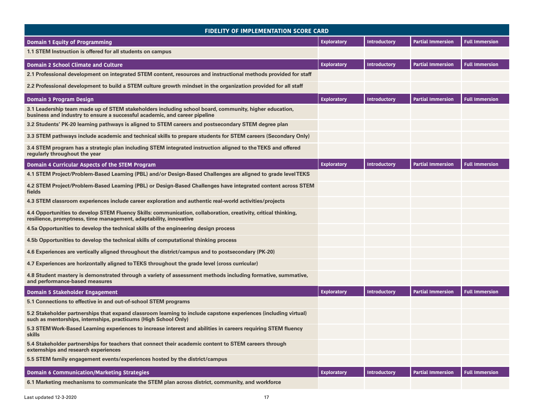| <b>FIDELITY OF IMPLEMENTATION SCORE CARD</b>                                                                                                                                        |                    |                     |                          |                       |  |
|-------------------------------------------------------------------------------------------------------------------------------------------------------------------------------------|--------------------|---------------------|--------------------------|-----------------------|--|
| <b>Domain 1 Equity of Programming</b>                                                                                                                                               | <b>Exploratory</b> | <b>Introductory</b> | <b>Partial Immersion</b> | <b>Full Immersion</b> |  |
| 1.1 STEM Instruction is offered for all students on campus                                                                                                                          |                    |                     |                          |                       |  |
| <b>Domain 2 School Climate and Culture</b>                                                                                                                                          |                    | Introductory        | <b>Partial Immersion</b> | <b>Full Immersion</b> |  |
| 2.1 Professional development on integrated STEM content, resources and instructional methods provided for staff                                                                     |                    |                     |                          |                       |  |
| 2.2 Professional development to build a STEM culture growth mindset in the organization provided for all staff                                                                      |                    |                     |                          |                       |  |
| <b>Domain 3 Program Design</b>                                                                                                                                                      | <b>Exploratory</b> | <b>Introductory</b> | <b>Partial Immersion</b> | <b>Full Immersion</b> |  |
| 3.1 Leadership team made up of STEM stakeholders including school board, community, higher education,<br>business and industry to ensure a successful academic, and career pipeline |                    |                     |                          |                       |  |
| 3.2 Students' PK-20 learning pathways is aligned to STEM careers and postsecondary STEM degree plan                                                                                 |                    |                     |                          |                       |  |
| 3.3 STEM pathways include academic and technical skills to prepare students for STEM careers (Secondary Only)                                                                       |                    |                     |                          |                       |  |
| 3.4 STEM program has a strategic plan including STEM integrated instruction aligned to the TEKS and offered<br>regularly throughout the year                                        |                    |                     |                          |                       |  |
| Domain 4 Curricular Aspects of the STEM Program                                                                                                                                     | <b>Exploratory</b> | <b>Introductory</b> | <b>Partial Immersion</b> | <b>Full Immersion</b> |  |
| 4.1 STEM Project/Problem-Based Learning (PBL) and/or Design-Based Challenges are aligned to grade level TEKS                                                                        |                    |                     |                          |                       |  |
| 4.2 STEM Project/Problem-Based Learning (PBL) or Design-Based Challenges have integrated content across STEM<br>fields                                                              |                    |                     |                          |                       |  |
| 4.3 STEM classroom experiences include career exploration and authentic real-world activities/projects                                                                              |                    |                     |                          |                       |  |
| 4.4 Opportunities to develop STEM Fluency Skills: communication, collaboration, creativity, critical thinking,<br>resilience, promptness, time management, adaptability, innovative |                    |                     |                          |                       |  |
| 4.5a Opportunities to develop the technical skills of the engineering design process                                                                                                |                    |                     |                          |                       |  |
| 4.5b Opportunities to develop the technical skills of computational thinking process                                                                                                |                    |                     |                          |                       |  |
| 4.6 Experiences are vertically aligned throughout the district/campus and to postsecondary (PK-20)                                                                                  |                    |                     |                          |                       |  |
| 4.7 Experiences are horizontally aligned to TEKS throughout the grade level (cross curricular)                                                                                      |                    |                     |                          |                       |  |
| 4.8 Student mastery is demonstrated through a variety of assessment methods including formative, summative,<br>and performance-based measures                                       |                    |                     |                          |                       |  |
| Domain 5 Stakeholder Engagement                                                                                                                                                     | <b>Exploratory</b> | <b>Introductory</b> | <b>Partial Immersion</b> | <b>Full Immersion</b> |  |
| 5.1 Connections to effective in and out-of-school STEM programs                                                                                                                     |                    |                     |                          |                       |  |
| 5.2 Stakeholder partnerships that expand classroom learning to include capstone experiences (including virtual)<br>such as mentorships, internships, practicums (High School Only)  |                    |                     |                          |                       |  |
| 5.3 STEM Work-Based Learning experiences to increase interest and abilities in careers requiring STEM fluency<br>skills                                                             |                    |                     |                          |                       |  |
| 5.4 Stakeholder partnerships for teachers that connect their academic content to STEM careers through<br>externships and research experiences                                       |                    |                     |                          |                       |  |
| 5.5 STEM family engagement events/experiences hosted by the district/campus                                                                                                         |                    |                     |                          |                       |  |
| <b>Domain 6 Communication/Marketing Strategies</b>                                                                                                                                  | <b>Exploratory</b> | <b>Introductory</b> | <b>Partial Immersion</b> | <b>Full Immersion</b> |  |
| 6.1 Marketing mechanisms to communicate the STEM plan across district, community, and workforce                                                                                     |                    |                     |                          |                       |  |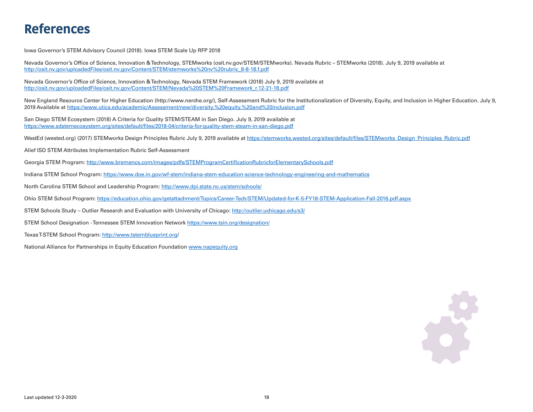## **References**

Iowa Governor's STEM Advisory Council (2018). Iowa STEM Scale Up RFP 2018

Nevada Governor's Office of Science, Innovation & Technology, STEMworks ([osit.nv.gov/STEM/STEMworks\)](http://osit.nv.gov/STEM/STEMworks). Nevada Rubric – STEMworks (2018). July 9, 2019 available at [http://osit.nv.gov/uploadedFiles/osit.nv.gov/Content/STEM/stemworks%20nv%20rubric\\_8-8-18.f.pdf](http://osit.nv.gov/uploadedFiles/osit.nv.gov/Content/STEM/stemworks%20nv%20rubric_8-8-18.f.pdf)

Nevada Governor's Office of Science, Innovation & Technology, Nevada STEM Framework (2018) July 9, 2019 available at [http://osit.nv.gov/uploadedFiles/osit.nv.gov/Content/STEM/Nevada%20STEM%20Framework\\_r.12-21-18.pdf](http://osit.nv.gov/uploadedFiles/osit.nv.gov/Content/STEM/Nevada%20STEM%20Framework_r.12-21-18.pdf)

New England Resource Center for Higher Education [\(http://www.nerche.org/\)](http://www.nerche.org/), Self-Assessment Rubric for the Institutionalization of Diversity, Equity, and Inclusion in Higher Education. July 9, 2019 Available at <https://www.utica.edu/academic/Assessment/new/diversity,%20equity,%20and%20inclusion.pdf>

San Diego STEM Ecosystem (2018) A Criteria for Quality STEM/STEAM in San Diego. July 9, 2019 available at <https://www.sdstemecosystem.org/sites/default/files/2018-04/criteria-for-quality-stem-steam-in-san-diego.pdf>

WestEd (wested.org) (2017) STEMworks Design Principles Rubric July 9, 2019 available at [https://stemworks.wested.org/sites/default/files/STEMworks\\_Design\\_Principles\\_Rubric.pdf](https://stemworks.wested.org/sites/default/files/STEMworks_Design_Principles_Rubric.pdf)

Alief ISD STEM Attributes Implementation Rubric Self-Assessment

Georgia STEM Program: <http://www.bremencs.com/images/pdfs/STEMProgramCertificationRubricforElementarySchools.pdf>

Indiana STEM School Program: <https://www.doe.in.gov/wf-stem/indiana-stem-education-science-technology-engineering-and-mathematics>

North Carolina STEM School and Leadership Program: <http://www.dpi.state.nc.us/stem/schools/>

Ohio STEM School Program:<https://education.ohio.gov/getattachment/Topics/Career-Tech/STEM/Updated-for-K-5-FY18-STEM-Application-Fall-2016.pdf.aspx>

STEM Schools Study – Outlier Research and Evaluation with University of Chicago: <http://outlier.uchicago.edu/s3/>

STEM School Designation - Tennessee STEM Innovation Network<https://www.tsin.org/designation/>

Texas T-STEM School Program: <http://www.tstemblueprint.org/>

National Alliance for Partnerships in Equity Education Foundation<www.napequity.org>